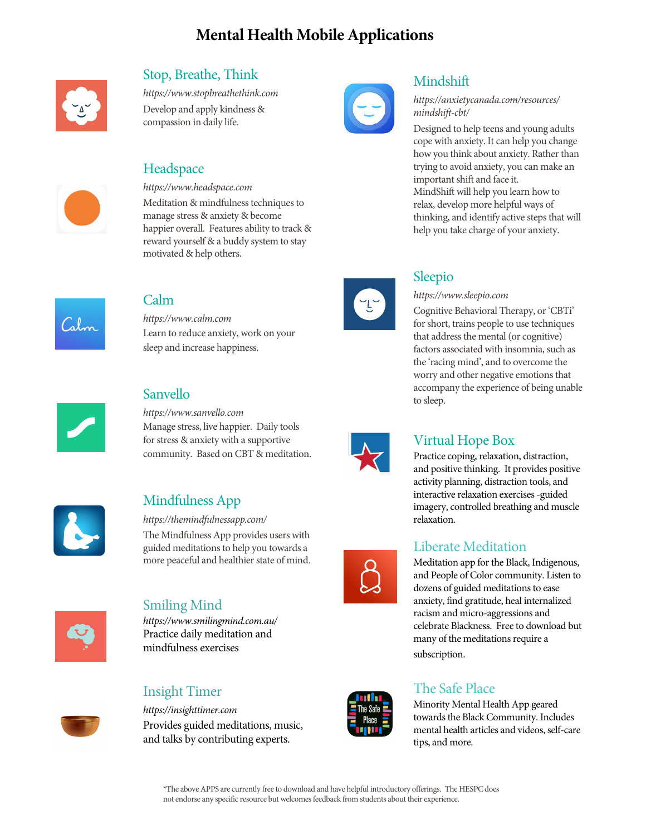# **Mental Health Mobile Applications**



# Stop, Breathe, Think Mindshift<br>https://www.stopbreathethink.com

Develop and apply kindness & *mindshift-cbt/*<br>compassion in daily life.

Meditation & mindfulness techniques to relax, develop more helpful ways of manage stress & anxiety & become thinking, and identify active steps the stress of thinking. reward yourself & a buddy system to stay motivated & help others.



Learn to reduce anxiety, work on your that address the mental (or cognitive) sleep and increase happiness. The mental or cognitive sleep and increase happiness.



*https://www.sanvello.com* Manage stress, live happier. Daily tools for stress & anxiety with a supportive Virtual Hope Box community. Based on CBT & meditation.



https://themindfulnessapp.com/

The Mindfulness App provides users with guided meditations to help you towards a<br>more peaceful and healthier state of mind.<br>Meditation app for the Black



mindfulness exercises subscription.

## Insight Timer The Safe Place

and talks by contributing experts. tips, and more.



# *https://www.stopbreathethink.com https://anxietycanada.com/resources/*

Designed to help teens and young adults cope with anxiety. It can help you change how you think about anxiety. Rather than Headspace trying to avoid anxiety, you can make an important shift and face it. *https://www.headspace.com* MindShift will help you learn how to manage stress & anxiety & become thinking, and identify active steps that will happier overall. Features ability to track & help you take charge of your anxiety.



### Sleepio

Calm *https://www.sleepio.com*

Cognitive Behavioral Therapy, or 'CBTi' *https://www.calm.com*<br> *https://www.calm.com*<br> *https://www.calm.com*<br> *for short, trains people to use techniques*<br> *hat address the mental (or cognitive)* factors associated with insomnia, such as the 'racing mind', and to overcome the worry and other negative emotions that Sanvello **Sanvello** accompany the experience of being unable to sleep.



Practice coping, relaxation, distraction, and positive thinking. It provides positive activity planning, distraction tools, and Mindfulness App interactive relaxation exercises -guided<br>interactive relaxation exercises -guided<br>interactive relaxation exercises -guided imagery, controlled breathing and muscle

Meditation app for the Black, Indigenous, and People of Color community. Listen to dozens of guided meditations to ease Smiling Mind anxiety, find gratitude, heal internalized racism and micro-aggressions and *https://www.smilingmind.com.au/* celebrate Blackness. Free to download but Practice daily meditation and celebrate Blackness. Free to download but many of the meditations require a

Attps://insighttimer.com<br> **Attps://insighttimer.com**<br> **Constitutions**<br> **Constitutions**<br> **Constitutions**<br> **Constitutions**<br> **Constitutions**<br> **Constitutions**<br> **Constitutions**<br> **Constitutions**<br> **Constitutions**<br> **Constitutions** towards the Black Community. Includes Provides guided meditations, music,

\*The above APPS are currently free to download and have helpful introductory offerings. The HESPC does not endorse any specific resource but welcomes feedback from students about their experience.